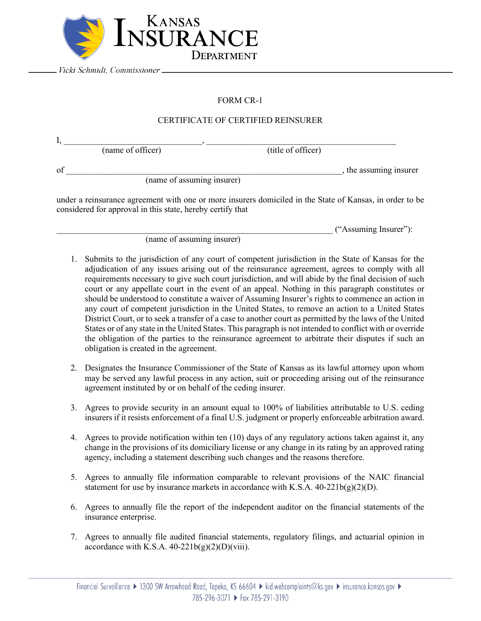

Vicki Schmidt, Commissioner \_

## FORM CR-1

## CERTIFICATE OF CERTIFIED REINSURER

| of                         | , the assuming insurer |
|----------------------------|------------------------|
| (name of assuming insurer) |                        |

under a reinsurance agreement with one or more insurers domiciled in the State of Kansas, in order to be considered for approval in this state, hereby certify that

\_\_\_\_\_\_\_\_\_\_\_\_\_\_\_\_\_\_\_\_\_\_\_\_\_\_\_\_\_\_\_\_\_\_\_\_\_\_\_\_\_\_\_\_\_\_\_\_\_\_\_\_\_\_\_\_\_\_\_\_\_\_\_\_ ("Assuming Insurer"):

(name of assuming insurer)

- 1. Submits to the jurisdiction of any court of competent jurisdiction in the State of Kansas for the adjudication of any issues arising out of the reinsurance agreement, agrees to comply with all requirements necessary to give such court jurisdiction, and will abide by the final decision of such court or any appellate court in the event of an appeal. Nothing in this paragraph constitutes or should be understood to constitute a waiver of Assuming Insurer's rights to commence an action in any court of competent jurisdiction in the United States, to remove an action to a United States District Court, or to seek a transfer of a case to another court as permitted by the laws of the United States or of any state in the United States. This paragraph is not intended to conflict with or override the obligation of the parties to the reinsurance agreement to arbitrate their disputes if such an obligation is created in the agreement.
- 2. Designates the Insurance Commissioner of the State of Kansas as its lawful attorney upon whom may be served any lawful process in any action, suit or proceeding arising out of the reinsurance agreement instituted by or on behalf of the ceding insurer.
- 3. Agrees to provide security in an amount equal to 100% of liabilities attributable to U.S. ceding insurers if it resists enforcement of a final U.S. judgment or properly enforceable arbitration award.
- 4. Agrees to provide notification within ten (10) days of any regulatory actions taken against it, any change in the provisions of its domiciliary license or any change in its rating by an approved rating agency, including a statement describing such changes and the reasons therefore.
- 5. Agrees to annually file information comparable to relevant provisions of the NAIC financial statement for use by insurance markets in accordance with K.S.A.  $40-221b(g)(2)(D)$ .
- 6. Agrees to annually file the report of the independent auditor on the financial statements of the insurance enterprise.
- 7. Agrees to annually file audited financial statements, regulatory filings, and actuarial opinion in accordance with K.S.A.  $40-221b(g)(2)(D)(viii)$ .